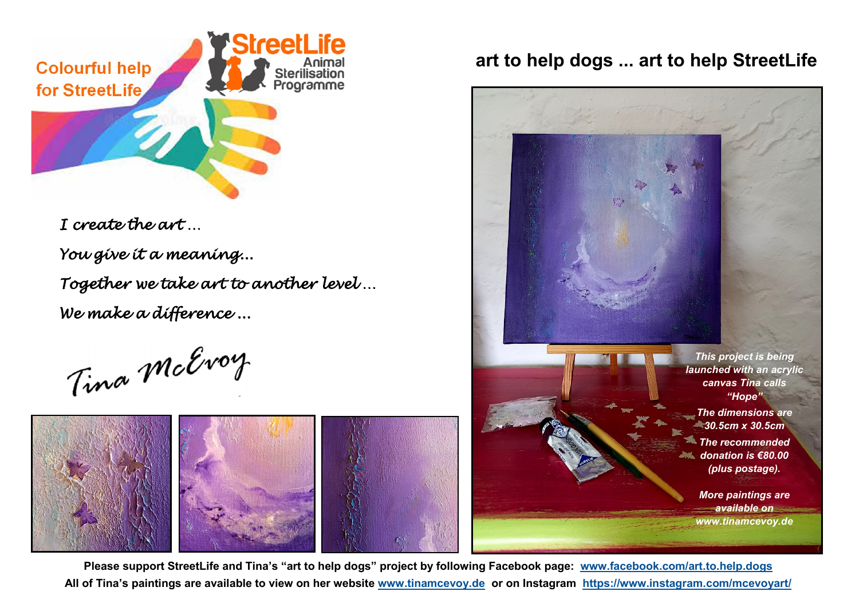

*I create the art … You give it a meaning... Together we take art to another level … We make a difference ...* 

Tima McEvoy



## **art to help dogs ... art to help StreetLife**



*www.tinamcevoy.de*

**Please support StreetLife and Tina's "art to help dogs" project by following Facebook page: [www.facebook.com/art.to.help.dogs](http://www.facebook.com/art.to.help.dogs)  All of Tina's paintings are available to view on her website [www.tinamcevoy.de](http://www.tinamcevoy.de) or on Instagram <https://www.instagram.com/mcevoyart/>**